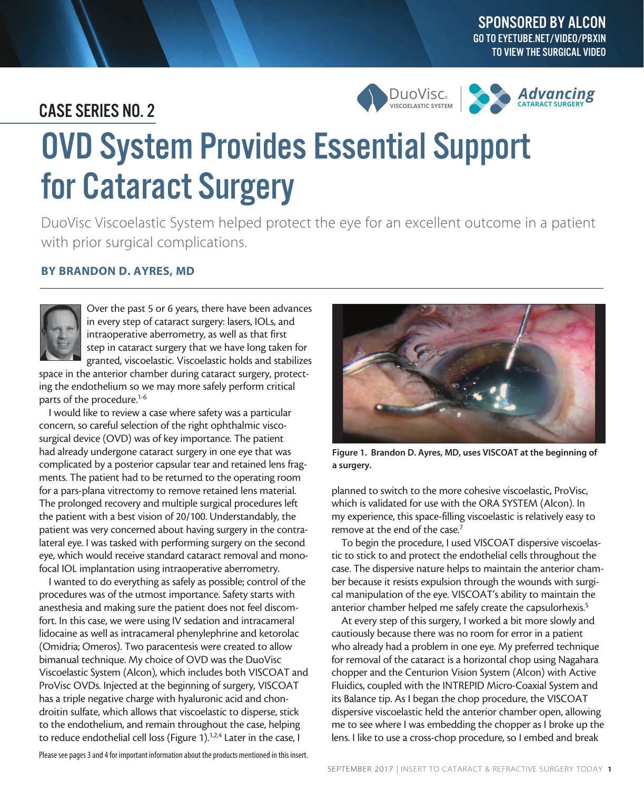## CASE SERIES NO. 2





# OVD System Provides Essential Support for Cataract Surgery

DuoVisc Viscoelastic System helped protect the eye for an excellent outcome in a patient with prior surgical complications.

### BY BRANDON D. AYRES, MD



Over the past 5 or 6 years, there have been advances in every step of cataract surgery: lasers, IOLs, and intraoperative aberrometry, as well as that first step in cataract surgery that we have long taken for granted, viscoelastic. Viscoelastic holds and stabilizes

space in the anterior chamber during cataract surgery, protecting the endothelium so we may more safely perform critical parts of the procedure.1-6

I would like to review a case where safety was a particular concern, so careful selection of the right ophthalmic viscosurgical device (OVD) was of key importance. The patient had already undergone cataract surgery in one eye that was complicated by a posterior capsular tear and retained lens fragments. The patient had to be returned to the operating room for a pars-plana vitrectomy to remove retained lens material. The prolonged recovery and multiple surgical procedures left the patient with a best vision of 20/100. Understandably, the patient was very concerned about having surgery in the contralateral eye. I was tasked with performing surgery on the second eye, which would receive standard cataract removal and monofocal IOL implantation using intraoperative aberrometry.

I wanted to do everything as safely as possible; control of the procedures was of the utmost importance. Safety starts with anesthesia and making sure the patient does not feel discomfort. In this case, we were using IV sedation and intracameral lidocaine as well as intracameral phenylephrine and ketorolac (Omidria; Omeros). Two paracentesis were created to allow bimanual technique. My choice of OVD was the DuoVisc Viscoelastic System (Alcon), which includes both VISCOAT and ProVisc OVDs. Injected at the beginning of surgery, VISCOAT has a triple negative charge with hyaluronic acid and chondroitin sulfate, which allows that viscoelastic to disperse, stick to the endothelium, and remain throughout the case, helping to reduce endothelial cell loss (Figure 1).<sup>1,2,4</sup> Later in the case, I



Figure 1. Brandon D. Ayres, MD, uses VISCOAT at the beginning of a surgery.

planned to switch to the more cohesive viscoelastic, ProVisc, which is validated for use with the ORA SYSTEM (Alcon). In my experience, this space-filling viscoelastic is relatively easy to remove at the end of the case.7

To begin the procedure, I used VISCOAT dispersive viscoelastic to stick to and protect the endothelial cells throughout the case. The dispersive nature helps to maintain the anterior chamber because it resists expulsion through the wounds with surgical manipulation of the eye. VISCOAT's ability to maintain the anterior chamber helped me safely create the capsulorhexis.<sup>5</sup>

At every step of this surgery, I worked a bit more slowly and cautiously because there was no room for error in a patient who already had a problem in one eye. My preferred technique for removal of the cataract is a horizontal chop using Nagahara chopper and the Centurion Vision System (Alcon) with Active Fluidics, coupled with the INTREPID Micro-Coaxial System and its Balance tip. As I began the chop procedure, the VISCOAT dispersive viscoelastic held the anterior chamber open, allowing me to see where I was embedding the chopper as I broke up the lens. I like to use a cross-chop procedure, so I embed and break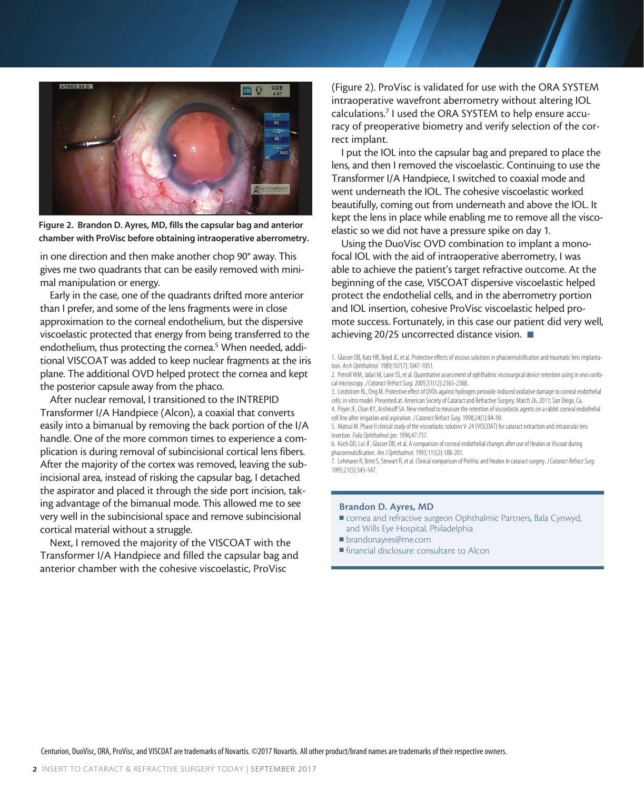

Figure 2. Brandon D. Ayres, MD, fills the capsular bag and anterior chamber with ProVisc before obtaining intraoperative aberrometry.

in one direction and then make another chop 90° away. This gives me two quadrants that can be easily removed with minimal manipulation or energy.

Early in the case, one of the quadrants drifted more anterior than I prefer, and some of the lens fragments were in close approximation to the corneal endothelium, but the dispersive viscoelastic protected that energy from being transferred to the endothelium, thus protecting the cornea.<sup>5</sup> When needed, additional VISCOAT was added to keep nuclear fragments at the iris plane. The additional OVD helped protect the cornea and kept the posterior capsule away from the phaco.

After nuclear removal, I transitioned to the INTREPID Transformer I/A Handpiece (Alcon), a coaxial that converts easily into a bimanual by removing the back portion of the I/A handle. One of the more common times to experience a complication is during removal of subincisional cortical lens fibers. After the majority of the cortex was removed, leaving the subincisional area, instead of risking the capsular bag, I detached the aspirator and placed it through the side port incision, taking advantage of the bimanual mode. This allowed me to see very well in the subincisional space and remove subincisional cortical material without a struggle.

Next, I removed the majority of the VISCOAT with the Transformer I/A Handpiece and filled the capsular bag and anterior chamber with the cohesive viscoelastic, ProVisc

(Figure 2). ProVisc is validated for use with the ORA SYSTEM intraoperative wavefront aberrometry without altering IOL calculations.<sup>7</sup> I used the ORA SYSTEM to help ensure accuracy of preoperative biometry and verify selection of the correct implant.

I put the IOL into the capsular bag and prepared to place the lens, and then I removed the viscoelastic. Continuing to use the Transformer I/A Handpiece, I switched to coaxial mode and went underneath the IOL. The cohesive viscoelastic worked beautifully, coming out from underneath and above the IOL. It kept the lens in place while enabling me to remove all the viscoelastic so we did not have a pressure spike on day 1.

Using the DuoVisc OVD combination to implant a monofocal IOL with the aid of intraoperative aberrometry, I was able to achieve the patient's target refractive outcome. At the beginning of the case, VISCOAT dispersive viscoelastic helped protect the endothelial cells, and in the aberrometry portion and IOL insertion, cohesive ProVisc viscoelastic helped promote success. Fortunately, in this case our patient did very well, achieving 20/25 uncorrected distance vision.  $\blacksquare$ 

2. Petroll WM, Jafari M, Lane SS, et al. Quantitative assessment of ophthalmic viscosurgical device retention using in vivo confocal microscopy. *J Cataract Refract Surg.* 2005;31(12):2363-2368.

- 3. Lindstrom RL, Ong M. Protective effect of OVDs against hydrogen peroxide-induced oxidative damage to corneal endothelial cells: in vitro model. Presented at: American Society of Cataract and Refractive Surgery; March 26, 2011; San Diego, Ca. 4. Poyer JF, Chan KY, Arshinoff SA. New method to measure the retention of viscoelastic agents on a rabbit corneal endothelial
- cell line after irrigation and aspiration. *J Cataract Refract Surg.* 1998;24(1):84-90. 5. Matsui M. Phase II clinical study of the viscoelastic solution V-24 (VISCOAT) for cataract extraction and intraocular lens

insertion. *Folia Ophthalmol Jpn.* 1996;47:737.

6. Koch DD, Lui JF, Glasser DB, et al. A comparison of corneal endothelial changes after use of Healon or Viscoat during phacoemulsification. *Am J Ophthalmol.* 1993;115(2):188-201.

7. Lehmann R, Brint S, Stewart R, et al. Clinical comparison of ProVisc and Healon in cataract surgery. *J Cataract Refract Surg.*  1995;21(5):543-547.

#### Brandon D. Ayres, MD

- cornea and refractive surgeon Ophthalmic Partners, Bala Cynwyd, and Wills Eye Hospital, Philadelphia
- <sup>n</sup> brandonayres@me.com
- <sup>n</sup> financial disclosure: consultant to Alcon

<sup>1.</sup> Glasser DB, Katz HR, Boyd JE, et al. Protective effects of viscous solutions in phacoemulsification and traumatic lens implantation. *Arch Ophthalmol.* 1989;107(7):1047-1051.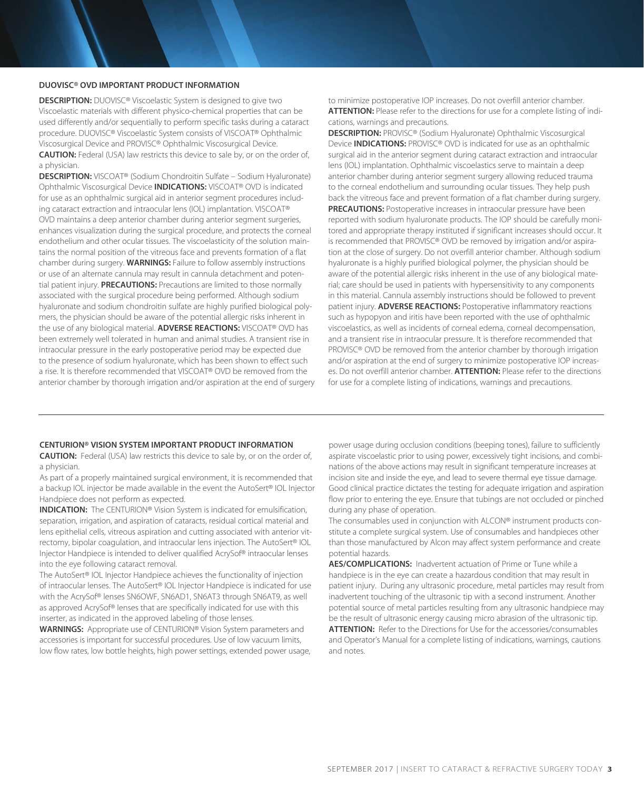#### DUOVISC® OVD IMPORTANT PRODUCT INFORMATION

**DESCRIPTION:** DUOVISC<sup>®</sup> Viscoelastic System is designed to give two Viscoelastic materials with different physico-chemical properties that can be used differently and/or sequentially to perform specific tasks during a cataract procedure. DUOVISC® Viscoelastic System consists of VISCOAT® Ophthalmic Viscosurgical Device and PROVISC® Ophthalmic Viscosurgical Device. CAUTION: Federal (USA) law restricts this device to sale by, or on the order of, a physician.

DESCRIPTION: VISCOAT® (Sodium Chondroitin Sulfate – Sodium Hyaluronate) Ophthalmic Viscosurgical Device INDICATIONS: VISCOAT® OVD is indicated for use as an ophthalmic surgical aid in anterior segment procedures including cataract extraction and intraocular lens (IOL) implantation. VISCOAT® OVD maintains a deep anterior chamber during anterior segment surgeries, enhances visualization during the surgical procedure, and protects the corneal endothelium and other ocular tissues. The viscoelasticity of the solution maintains the normal position of the vitreous face and prevents formation of a flat chamber during surgery. WARNINGS: Failure to follow assembly instructions or use of an alternate cannula may result in cannula detachment and potential patient injury. **PRECAUTIONS:** Precautions are limited to those normally associated with the surgical procedure being performed. Although sodium hyaluronate and sodium chondroitin sulfate are highly purified biological polymers, the physician should be aware of the potential allergic risks inherent in the use of any biological material. ADVERSE REACTIONS: VISCOAT® OVD has been extremely well tolerated in human and animal studies. A transient rise in intraocular pressure in the early postoperative period may be expected due to the presence of sodium hyaluronate, which has been shown to effect such a rise. It is therefore recommended that VISCOAT® OVD be removed from the anterior chamber by thorough irrigation and/or aspiration at the end of surgery to minimize postoperative IOP increases. Do not overfill anterior chamber. ATTENTION: Please refer to the directions for use for a complete listing of indications, warnings and precautions.

DESCRIPTION: PROVISC® (Sodium Hyaluronate) Ophthalmic Viscosurgical Device **INDICATIONS:** PROVISC® OVD is indicated for use as an ophthalmic surgical aid in the anterior segment during cataract extraction and intraocular lens (IOL) implantation. Ophthalmic viscoelastics serve to maintain a deep anterior chamber during anterior segment surgery allowing reduced trauma to the corneal endothelium and surrounding ocular tissues. They help push back the vitreous face and prevent formation of a flat chamber during surgery. PRECAUTIONS: Postoperative increases in intraocular pressure have been reported with sodium hyaluronate products. The IOP should be carefully monitored and appropriate therapy instituted if significant increases should occur. It is recommended that PROVISC® OVD be removed by irrigation and/or aspiration at the close of surgery. Do not overfill anterior chamber. Although sodium hyaluronate is a highly purified biological polymer, the physician should be aware of the potential allergic risks inherent in the use of any biological material; care should be used in patients with hypersensitivity to any components in this material. Cannula assembly instructions should be followed to prevent patient injury. **ADVERSE REACTIONS:** Postoperative inflammatory reactions such as hypopyon and iritis have been reported with the use of ophthalmic viscoelastics, as well as incidents of corneal edema, corneal decompensation, and a transient rise in intraocular pressure. It is therefore recommended that PROVISC® OVD be removed from the anterior chamber by thorough irrigation and/or aspiration at the end of surgery to minimize postoperative IOP increases. Do not overfill anterior chamber. **ATTENTION:** Please refer to the directions for use for a complete listing of indications, warnings and precautions.

#### CENTURION® VISION SYSTEM IMPORTANT PRODUCT INFORMATION

CAUTION: Federal (USA) law restricts this device to sale by, or on the order of, a physician.

As part of a properly maintained surgical environment, it is recommended that a backup IOL injector be made available in the event the AutoSert® IOL Injector Handpiece does not perform as expected.

INDICATION: The CENTURION® Vision System is indicated for emulsification, separation, irrigation, and aspiration of cataracts, residual cortical material and lens epithelial cells, vitreous aspiration and cutting associated with anterior vitrectomy, bipolar coagulation, and intraocular lens injection. The AutoSert® IOL Injector Handpiece is intended to deliver qualified AcrySof® intraocular lenses into the eye following cataract removal.

The AutoSert® IOL Injector Handpiece achieves the functionality of injection of intraocular lenses. The AutoSert® IOL Injector Handpiece is indicated for use with the AcrySof® lenses SN6OWF, SN6AD1, SN6AT3 through SN6AT9, as well as approved AcrySof® lenses that are specifically indicated for use with this inserter, as indicated in the approved labeling of those lenses.

WARNINGS: Appropriate use of CENTURION® Vision System parameters and accessories is important for successful procedures. Use of low vacuum limits, low flow rates, low bottle heights, high power settings, extended power usage, power usage during occlusion conditions (beeping tones), failure to sufficiently aspirate viscoelastic prior to using power, excessively tight incisions, and combinations of the above actions may result in significant temperature increases at incision site and inside the eye, and lead to severe thermal eye tissue damage. Good clinical practice dictates the testing for adequate irrigation and aspiration flow prior to entering the eye. Ensure that tubings are not occluded or pinched during any phase of operation.

The consumables used in conjunction with ALCON® instrument products constitute a complete surgical system. Use of consumables and handpieces other than those manufactured by Alcon may affect system performance and create potential hazards.

AES/COMPLICATIONS: Inadvertent actuation of Prime or Tune while a handpiece is in the eye can create a hazardous condition that may result in patient injury. During any ultrasonic procedure, metal particles may result from inadvertent touching of the ultrasonic tip with a second instrument. Another potential source of metal particles resulting from any ultrasonic handpiece may be the result of ultrasonic energy causing micro abrasion of the ultrasonic tip. ATTENTION: Refer to the Directions for Use for the accessories/consumables and Operator's Manual for a complete listing of indications, warnings, cautions and notes.